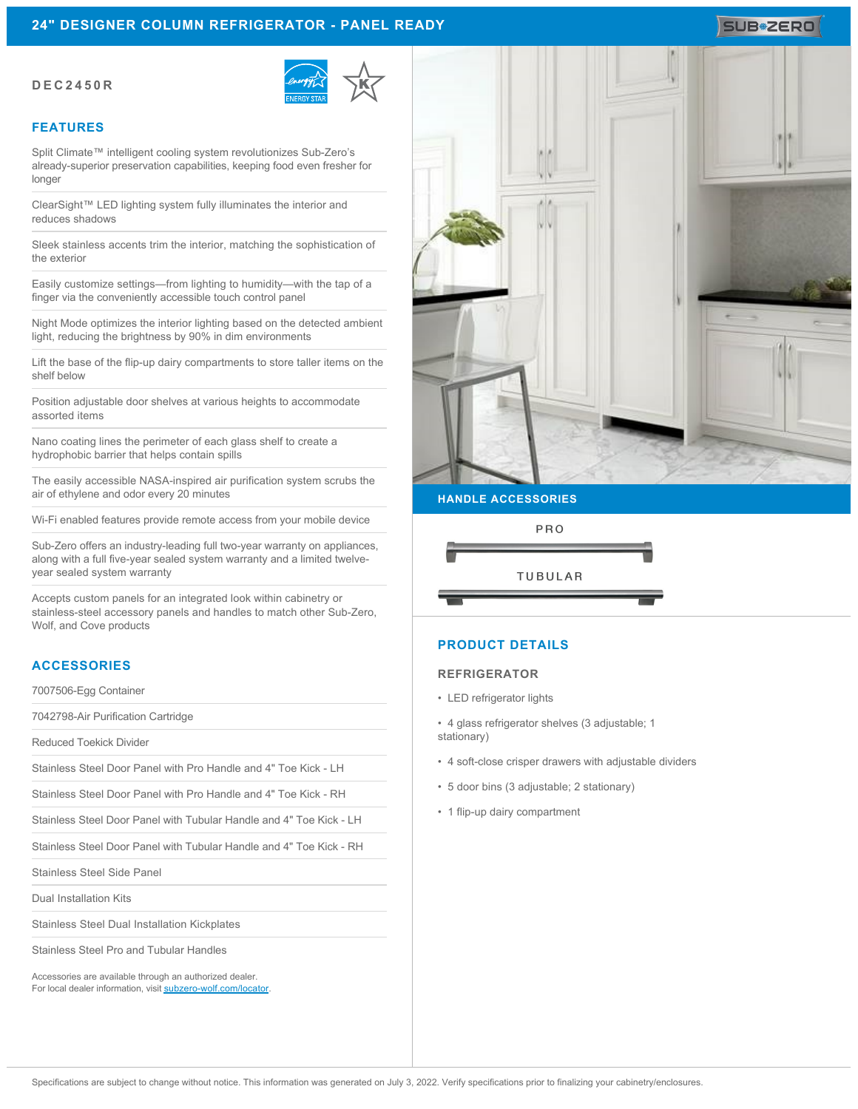# **24" DESIGNER COLUMN REFRIGERATOR - PANEL READY**

### **DEC2450R**



### **FEATURES**

Split Climate™ intelligent cooling system revolutionizes Sub-Zero's already-superior preservation capabilities, keeping food even fresher for longer

ClearSight™ LED lighting system fully illuminates the interior and reduces shadows

Sleek stainless accents trim the interior, matching the sophistication of the exterior

Easily customize settings—from lighting to humidity—with the tap of a finger via the conveniently accessible touch control panel

Night Mode optimizes the interior lighting based on the detected ambient light, reducing the brightness by 90% in dim environments

Lift the base of the flip-up dairy compartments to store taller items on the shelf below

Position adjustable door shelves at various heights to accommodate assorted items

Nano coating lines the perimeter of each glass shelf to create a hydrophobic barrier that helps contain spills

The easily accessible NASA-inspired air purification system scrubs the air of ethylene and odor every 20 minutes

Wi-Fi enabled features provide remote access from your mobile device

Sub-Zero offers an industry-leading full two-year warranty on appliances, along with a full five-year sealed system warranty and a limited twelveyear sealed system warranty

Accepts custom panels for an integrated look within cabinetry or stainless-steel accessory panels and handles to match other Sub-Zero, Wolf, and Cove products

### **ACCESSORIES**

7007506-Egg Container

7042798-Air Purification Cartridge

Reduced Toekick Divider

Stainless Steel Door Panel with Pro Handle and 4" Toe Kick - LH

Stainless Steel Door Panel with Pro Handle and 4" Toe Kick - RH

Stainless Steel Door Panel with Tubular Handle and 4" Toe Kick - LH

Stainless Steel Door Panel with Tubular Handle and 4" Toe Kick - RH

Stainless Steel Side Panel

Dual Installation Kits

Stainless Steel Dual Installation Kickplates

Stainless Steel Pro and Tubular Handles

Accessories are available through an authorized dealer. For local dealer information, visit [subzero-wolf.com/locator.](http://www.subzero-wolf.com/locator)



## **HANDLE ACCESSORIES**



# **PRODUCT DETAILS**

#### **REFRIGERATOR**

- LED refrigerator lights
- 4 glass refrigerator shelves (3 adjustable; 1 stationary)
- 4 soft-close crisper drawers with adjustable dividers
- 5 door bins (3 adjustable; 2 stationary)
- 1 flip-up dairy compartment

# SUB<sup>\*</sup>ZERO